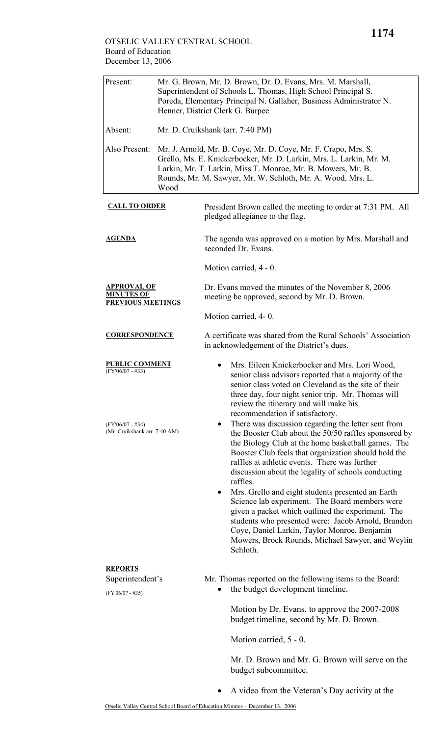## OTSELIC VALLEY CENTRAL SCHOOL Board of Education December 13, 2006

| Present:                                                            | Mr. G. Brown, Mr. D. Brown, Dr. D. Evans, Mrs. M. Marshall,<br>Superintendent of Schools L. Thomas, High School Principal S.<br>Poreda, Elementary Principal N. Gallaher, Business Administrator N.<br>Henner, District Clerk G. Burpee                                      |                                                                                                                                                                                                                                                                                                                                                                                                                                                                                                                                                                                                                                                                                                    |  |
|---------------------------------------------------------------------|------------------------------------------------------------------------------------------------------------------------------------------------------------------------------------------------------------------------------------------------------------------------------|----------------------------------------------------------------------------------------------------------------------------------------------------------------------------------------------------------------------------------------------------------------------------------------------------------------------------------------------------------------------------------------------------------------------------------------------------------------------------------------------------------------------------------------------------------------------------------------------------------------------------------------------------------------------------------------------------|--|
| Absent:                                                             | Mr. D. Cruikshank (arr. 7:40 PM)                                                                                                                                                                                                                                             |                                                                                                                                                                                                                                                                                                                                                                                                                                                                                                                                                                                                                                                                                                    |  |
| Also Present:                                                       | Mr. J. Arnold, Mr. B. Coye, Mr. D. Coye, Mr. F. Crapo, Mrs. S.<br>Grello, Ms. E. Knickerbocker, Mr. D. Larkin, Mrs. L. Larkin, Mr. M.<br>Larkin, Mr. T. Larkin, Miss T. Monroe, Mr. B. Mowers, Mr. B.<br>Rounds, Mr. M. Sawyer, Mr. W. Schloth, Mr. A. Wood, Mrs. L.<br>Wood |                                                                                                                                                                                                                                                                                                                                                                                                                                                                                                                                                                                                                                                                                                    |  |
| <b>CALL TO ORDER</b>                                                |                                                                                                                                                                                                                                                                              | President Brown called the meeting to order at 7:31 PM. All<br>pledged allegiance to the flag.                                                                                                                                                                                                                                                                                                                                                                                                                                                                                                                                                                                                     |  |
| <b>AGENDA</b>                                                       |                                                                                                                                                                                                                                                                              | The agenda was approved on a motion by Mrs. Marshall and<br>seconded Dr. Evans.                                                                                                                                                                                                                                                                                                                                                                                                                                                                                                                                                                                                                    |  |
|                                                                     |                                                                                                                                                                                                                                                                              | Motion carried, 4 - 0.                                                                                                                                                                                                                                                                                                                                                                                                                                                                                                                                                                                                                                                                             |  |
| <u>APPROVAL OF</u><br><b>MINUTES OF</b><br><b>PREVIOUS MEETINGS</b> |                                                                                                                                                                                                                                                                              | Dr. Evans moved the minutes of the November 8, 2006<br>meeting be approved, second by Mr. D. Brown.                                                                                                                                                                                                                                                                                                                                                                                                                                                                                                                                                                                                |  |
|                                                                     |                                                                                                                                                                                                                                                                              | Motion carried, 4-0.                                                                                                                                                                                                                                                                                                                                                                                                                                                                                                                                                                                                                                                                               |  |
| <b>CORRESPONDENCE</b>                                               |                                                                                                                                                                                                                                                                              | A certificate was shared from the Rural Schools' Association<br>in acknowledgement of the District's dues.                                                                                                                                                                                                                                                                                                                                                                                                                                                                                                                                                                                         |  |
| <b>BLIC COMMENT</b><br>$(FY'06/07 - #33)$                           |                                                                                                                                                                                                                                                                              | Mrs. Eileen Knickerbocker and Mrs. Lori Wood,<br>senior class advisors reported that a majority of the<br>senior class voted on Cleveland as the site of their<br>three day, four night senior trip. Mr. Thomas will<br>review the itinerary and will make his<br>recommendation if satisfactory.                                                                                                                                                                                                                                                                                                                                                                                                  |  |
| $(FY'06/07 - #34)$<br>(Mr. Cruikshank arr. 7:40 AM)                 |                                                                                                                                                                                                                                                                              | There was discussion regarding the letter sent from<br>٠<br>the Booster Club about the 50/50 raffles sponsored by<br>the Biology Club at the home basketball games. The<br>Booster Club feels that organization should hold the<br>raffles at athletic events. There was further<br>discussion about the legality of schools conducting<br>raffles.<br>Mrs. Grello and eight students presented an Earth<br>$\bullet$<br>Science lab experiment. The Board members were<br>given a packet which outlined the experiment. The<br>students who presented were: Jacob Arnold, Brandon<br>Coye, Daniel Larkin, Taylor Monroe, Benjamin<br>Mowers, Brock Rounds, Michael Sawyer, and Weylin<br>Schloth. |  |
| <b>REPORTS</b><br>Superintendent's<br>$(FY'06/07 - #35)$            |                                                                                                                                                                                                                                                                              | Mr. Thomas reported on the following items to the Board:<br>the budget development timeline.<br>Motion by Dr. Evans, to approve the 2007-2008<br>budget timeline, second by Mr. D. Brown.<br>Motion carried, 5 - 0.                                                                                                                                                                                                                                                                                                                                                                                                                                                                                |  |
|                                                                     |                                                                                                                                                                                                                                                                              | Mr. D. Brown and Mr. G. Brown will serve on the<br>budget subcommittee.                                                                                                                                                                                                                                                                                                                                                                                                                                                                                                                                                                                                                            |  |

• A video from the Veteran's Day activity at the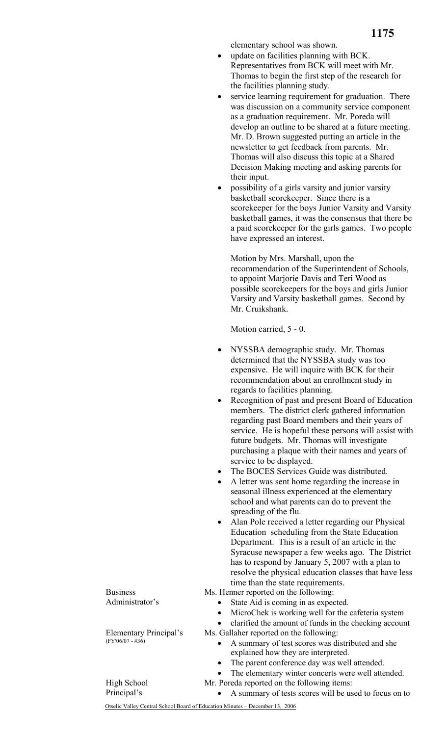elementary school was shown.

- update on facilities planning with BCK. Representatives from BCK will meet with Mr. Thomas to begin the first step of the research for the facilities planning study.
- service learning requirement for graduation. There was discussion on a community service component as a graduation requirement. Mr. Poreda will develop an outline to be shared at a future meeting. Mr. D. Brown suggested putting an article in the newsletter to get feedback from parents. Mr. Thomas will also discuss this topic at a Shared Decision Making meeting and asking parents for their input.
- possibility of a girls varsity and junior varsity basketball scorekeeper. Since there is a scorekeeper for the boys Junior Varsity and Varsity basketball games, it was the consensus that there be a paid scorekeeper for the girls games. Two people have expressed an interest.

Motion by Mrs. Marshall, upon the recommendation of the Superintendent of Schools, to appoint Marjorie Davis and Teri Wood as possible scorekeepers for the boys and girls Junior Varsity and Varsity basketball games. Second by Mr. Cruikshank.

Motion carried, 5 - 0.

- NYSSBA demographic study. Mr. Thomas determined that the NYSSBA study was too expensive. He will inquire with BCK for their recommendation about an enrollment study in regards to facilities planning.
- Recognition of past and present Board of Education members. The district clerk gathered information regarding past Board members and their years of service. He is hopeful these persons will assist with future budgets. Mr. Thomas will investigate purchasing a plaque with their names and years of service to be displayed.
- The BOCES Services Guide was distributed.
- A letter was sent home regarding the increase in seasonal illness experienced at the elementary school and what parents can do to prevent the spreading of the flu.
- Alan Pole received a letter regarding our Physical Education scheduling from the State Education Department. This is a result of an article in the Syracuse newspaper a few weeks ago. The District has to respond by January 5, 2007 with a plan to resolve the physical education classes that have less time than the state requirements.

Ms. Henner reported on the following:

- State Aid is coming in as expected.
- MicroChek is working well for the cafeteria system
- clarified the amount of funds in the checking account

Ms. Gallaher reported on the following:

- A summary of test scores was distributed and she explained how they are interpreted.
- The parent conference day was well attended.
- The elementary winter concerts were well attended.
- Mr. Poreda reported on the following items:
	- A summary of tests scores will be used to focus on to

Otselic Valley Central School Board of Education Minutes – December 13, 2006

Business Administrator's

High School Principal's

Elementary Principal's (FY'06/07 - #36)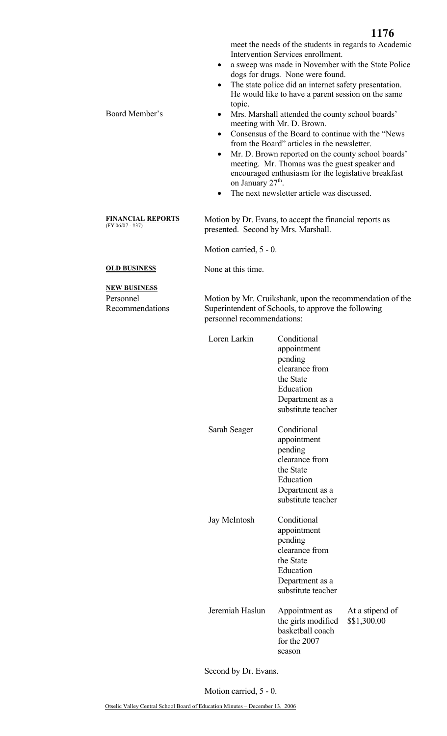meet the needs of the students in regards to Academic Intervention Services enrollment.

- a sweep was made in November with the State Police dogs for drugs. None were found.
- The state police did an internet safety presentation. He would like to have a parent session on the same topic.
- Board Member's Mrs. Marshall attended the county school boards' meeting with Mr. D. Brown.
	- Consensus of the Board to continue with the "News from the Board" articles in the newsletter.
	- Mr. D. Brown reported on the county school boards' meeting. Mr. Thomas was the guest speaker and encouraged enthusiasm for the legislative breakfast on January 27<sup>th</sup>.
	- The next newsletter article was discussed.

**FINANCIAL REPORTS** Motion by Dr. Evans, to accept the financial reports as presented. Second by Mrs. Marshall.

Motion carried, 5 - 0.

**OLD BUSINESS** None at this time.

**NEW BUSINESS**

Personnel Recommendations Motion by Mr. Cruikshank, upon the recommendation of the Superintendent of Schools, to approve the following personnel recommendations:

| Loren Larkin    | Conditional<br>appointment<br>pending<br>clearance from<br>the State<br>Education<br>Department as a<br>substitute teacher |                                 |
|-----------------|----------------------------------------------------------------------------------------------------------------------------|---------------------------------|
| Sarah Seager    | Conditional<br>appointment<br>pending<br>clearance from<br>the State<br>Education<br>Department as a<br>substitute teacher |                                 |
| Jay McIntosh    | Conditional<br>appointment<br>pending<br>clearance from<br>the State<br>Education<br>Department as a<br>substitute teacher |                                 |
| Jeremiah Haslun | Appointment as<br>the girls modified<br>basketball coach<br>for the 2007<br>season                                         | At a stipend of<br>\$\$1,300.00 |

Second by Dr. Evans.

Motion carried, 5 - 0.